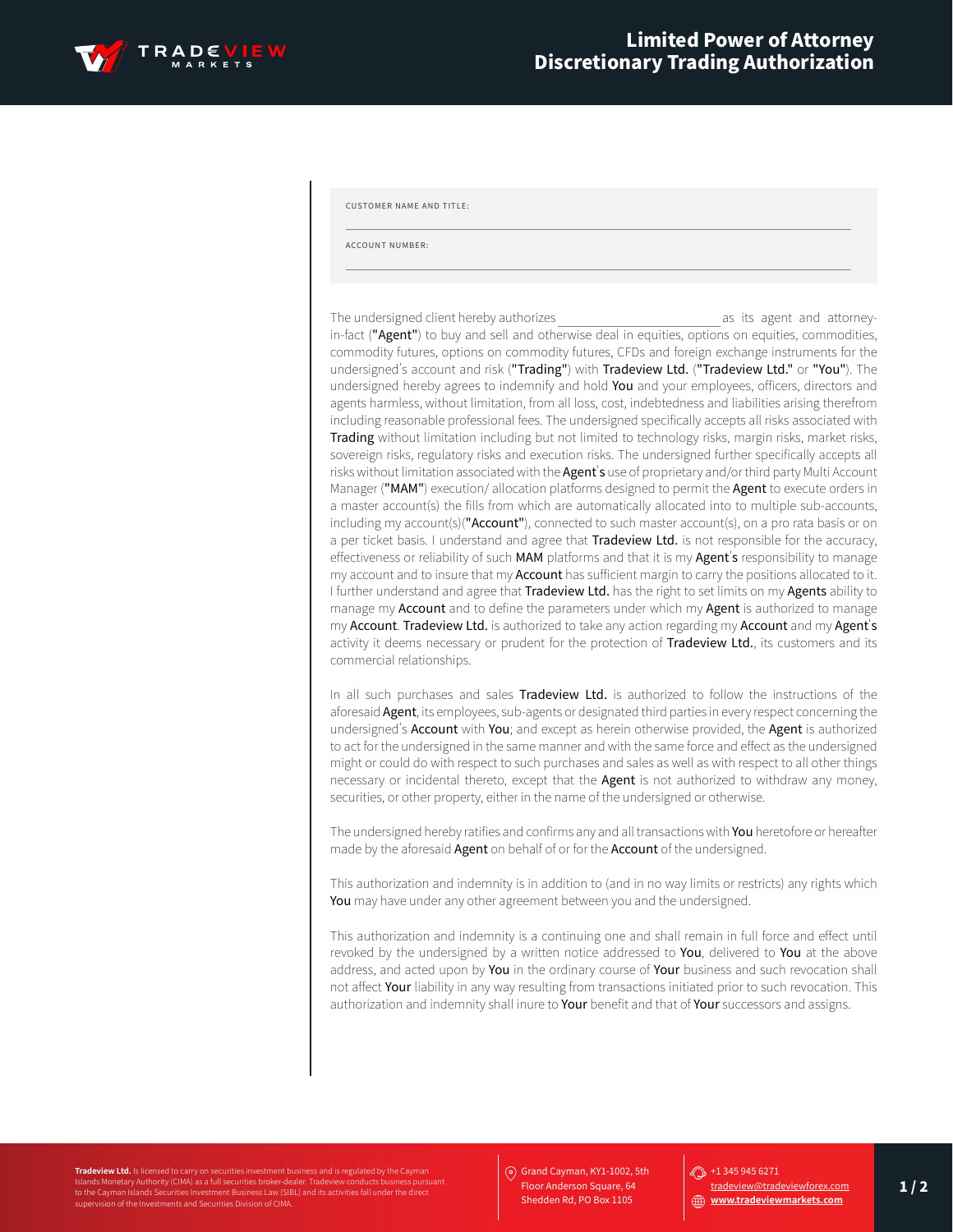

CUSTOMER NAME AND TITLE:

ACCOUNT NUMBER:

The undersigned client hereby authorizes as its agent and attorneyin-fact ("Agent") to buy and sell and otherwise deal in equities, options on equities, commodities, commodity futures, options on commodity futures, CFDs and foreign exchange instruments for the undersigned's account and risk ("Trading") with Tradeview Ltd. ("Tradeview Ltd." or "You"). The undersigned hereby agrees to indemnify and hold You and your employees, officers, directors and agents harmless, without limitation, from all loss, cost, indebtedness and liabilities arising therefrom including reasonable professional fees. The undersigned specifically accepts all risks associated with Trading without limitation including but not limited to technology risks, margin risks, market risks, sovereign risks, regulatory risks and execution risks. The undersigned further specifically accepts all risks without limitation associated with the Agent's use of proprietary and/or third party Multi Account Manager ("MAM") execution/ allocation platforms designed to permit the Agent to execute orders in a master account(s) the fills from which are automatically allocated into to multiple sub-accounts, including my account(s)(" $Account$ "), connected to such master account(s), on a pro rata basis or on a per ticket basis. I understand and agree that Tradeview Ltd. is not responsible for the accuracy, effectiveness or reliability of such MAM platforms and that it is my Agent's responsibility to manage my account and to insure that my **Account** has sufficient margin to carry the positions allocated to it. I further understand and agree that Tradeview Ltd. has the right to set limits on my Agents ability to manage my Account and to define the parameters under which my Agent is authorized to manage my Account. Tradeview Ltd. is authorized to take any action regarding my Account and my Agent's activity it deems necessary or prudent for the protection of Tradeview Ltd., its customers and its commercial relationships.

In all such purchases and sales Tradeview Ltd. is authorized to follow the instructions of the aforesaid Agent, its employees, sub-agents or designated third parties in every respect concerning the undersigned's Account with You; and except as herein otherwise provided, the Agent is authorized to act for the undersigned in the same manner and with the same force and effect as the undersigned might or could do with respect to such purchases and sales as well as with respect to all other things necessary or incidental thereto, except that the **Agent** is not authorized to withdraw any money, securities, or other property, either in the name of the undersigned or otherwise.

The undersigned hereby ratifies and confirms any and all transactions with You heretofore or hereafter made by the aforesaid **Agent** on behalf of or for the **Account** of the undersigned.

This authorization and indemnity is in addition to (and in no way limits or restricts) any rights which You may have under any other agreement between you and the undersigned.

This authorization and indemnity is a continuing one and shall remain in full force and effect until revoked by the undersigned by a written notice addressed to You, delivered to You at the above address, and acted upon by You in the ordinary course of Your business and such revocation shall not affect Your liability in any way resulting from transactions initiated prior to such revocation. This authorization and indemnity shall inure to Your benefit and that of Your successors and assigns.

**Tradeview Ltd.** Is licensed to carry on securities investment business and is regulated by the Cayman to the Cayman Islands Securities Investment Business Law (SIBL) and its activities fall under the direct supervision of the Investments and Securities Division of CIMA. Grand Cayman, KY1-1002, 5th Floor Anderson Square, 64 Shedden Rd, PO Box 1105

## $\bigodot$  +1 345 945 6271

tradeview@tradeviewforex.com **www.tradeviewmarkets.com**

 $1/2$